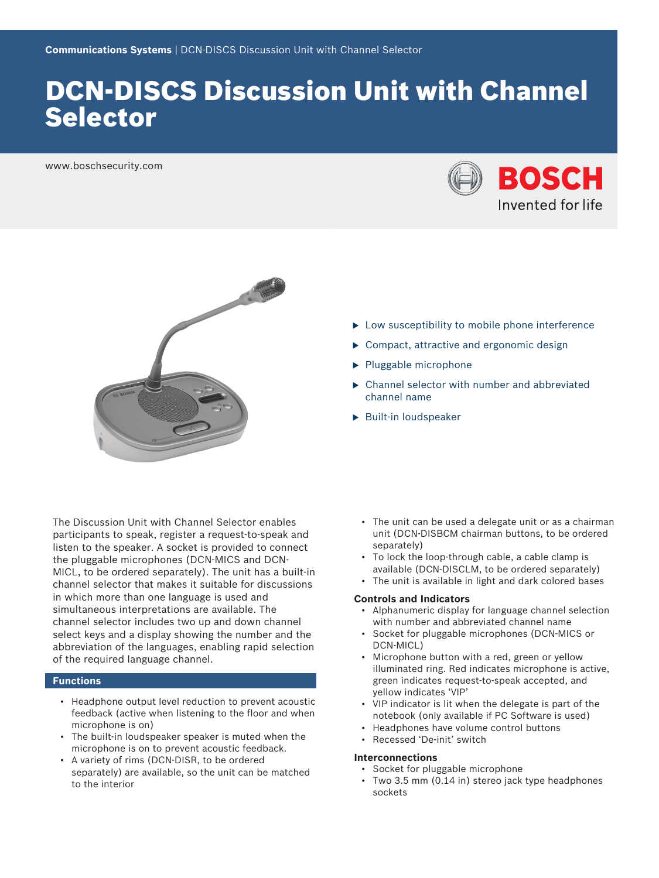# DCN‑DISCS Discussion Unit with Channel Selector

www.boschsecurity.com





The Discussion Unit with Channel Selector enables participants to speak, register a request-to-speak and listen to the speaker. A socket is provided to connect the pluggable microphones (DCN-MICS and DCN-MICL, to be ordered separately). The unit has a built-in channel selector that makes it suitable for discussions in which more than one language is used and simultaneous interpretations are available. The channel selector includes two up and down channel select keys and a display showing the number and the abbreviation of the languages, enabling rapid selection of the required language channel.

# **Functions**

- Headphone output level reduction to prevent acoustic feedback (active when listening to the floor and when microphone is on)
- The built-in loudspeaker speaker is muted when the microphone is on to prevent acoustic feedback.
- A variety of rims (DCN-DISR, to be ordered separately) are available, so the unit can be matched to the interior
- $\blacktriangleright$  Low susceptibility to mobile phone interference
- $\triangleright$  Compact, attractive and ergonomic design
- $\blacktriangleright$  Pluggable microphone
- $\triangleright$  Channel selector with number and abbreviated channel name
- $\blacktriangleright$  Built-in loudspeaker

- The unit can be used a delegate unit or as a chairman unit (DCN-DISBCM chairman buttons, to be ordered separately)
- To lock the loop-through cable, a cable clamp is available (DCN-DISCLM, to be ordered separately)
- The unit is available in light and dark colored bases

### **Controls and Indicators**

- Alphanumeric display for language channel selection with number and abbreviated channel name
- Socket for pluggable microphones (DCN-MICS or DCN-MICL)
- Microphone button with a red, green or yellow illuminated ring. Red indicates microphone is active, green indicates request-to-speak accepted, and yellow indicates 'VIP'
- VIP indicator is lit when the delegate is part of the notebook (only available if PC Software is used)
- Headphones have volume control buttons
- Recessed 'De-init' switch

## **Interconnections**

- Socket for pluggable microphone
- Two 3.5 mm (0.14 in) stereo jack type headphones sockets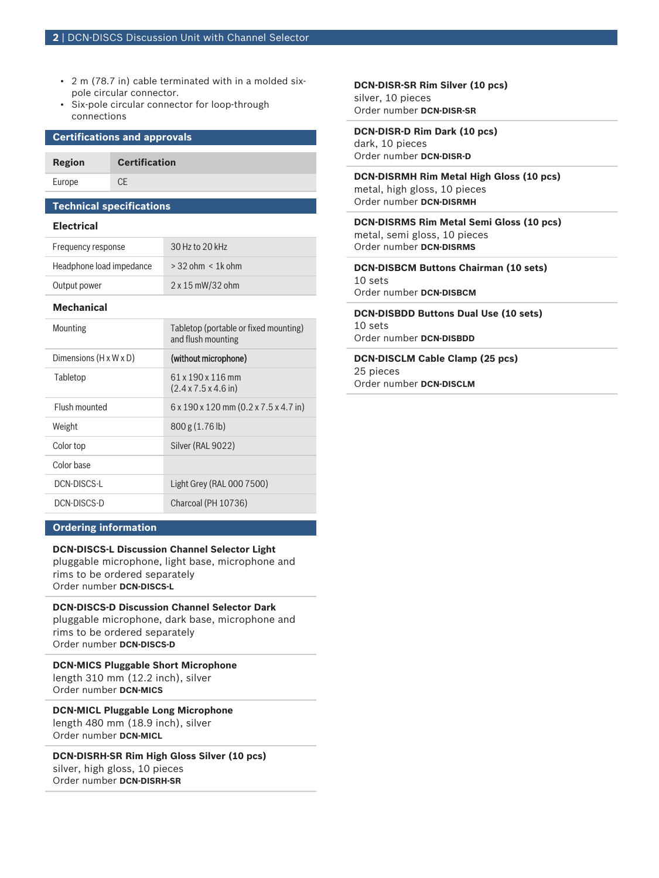- 2 m (78.7 in) cable terminated with in a molded sixpole circular connector.
- Six-pole circular connector for loop-through connections

## **Certifications and approvals**

**Region Certification** Europe CE

# **Technical specifications**

# **Electrical**

| <b>Mechanical</b>        |                          |
|--------------------------|--------------------------|
| Output power             | 2 x 15 mW/32 ohm         |
| Headphone load impedance | $>$ 32 ohm $\leq$ 1k ohm |
| Frequency response       | 30 Hz to 20 kHz          |

| Mounting                           | Tabletop (portable or fixed mounting)<br>and flush mounting   |
|------------------------------------|---------------------------------------------------------------|
| Dimensions $(H \times W \times D)$ | (without microphone)                                          |
| Tabletop                           | 61 x 190 x 116 mm<br>$(2.4 \times 7.5 \times 4.6)$ in)        |
| Flush mounted                      | $6 \times 190 \times 120$ mm $(0.2 \times 7.5 \times 4.7$ in) |
| Weight                             | 800 g (1.76 lb)                                               |
| Color top                          | Silver (RAL 9022)                                             |
| Color base                         |                                                               |
| DCN-DISCS-L                        | Light Grey (RAL 000 7500)                                     |
| DCN-DISCS-D                        | Charcoal (PH 10736)                                           |

# **Ordering information**

# **DCN‑DISCS‑L Discussion Channel Selector Light**

pluggable microphone, light base, microphone and rims to be ordered separately Order number **DCN-DISCS-L**

**DCN‑DISCS‑D Discussion Channel Selector Dark** pluggable microphone, dark base, microphone and rims to be ordered separately Order number **DCN-DISCS-D**

**DCN‑MICS Pluggable Short Microphone** length 310 mm (12.2 inch), silver Order number **DCN-MICS**

**DCN‑MICL Pluggable Long Microphone** length 480 mm (18.9 inch), silver Order number **DCN-MICL**

**DCN‑DISRH‑SR Rim High Gloss Silver (10 pcs)** silver, high gloss, 10 pieces Order number **DCN-DISRH-SR**

**DCN‑DISR‑SR Rim Silver (10 pcs)** silver, 10 pieces Order number **DCN-DISR-SR**

**DCN‑DISR‑D Rim Dark (10 pcs)** dark, 10 pieces Order number **DCN-DISR-D**

**DCN‑DISRMH Rim Metal High Gloss (10 pcs)** metal, high gloss, 10 pieces Order number **DCN-DISRMH**

**DCN‑DISRMS Rim Metal Semi Gloss (10 pcs)** metal, semi gloss, 10 pieces Order number **DCN-DISRMS**

**DCN‑DISBCM Buttons Chairman (10 sets)** 10 sets Order number **DCN-DISBCM**

**DCN‑DISBDD Buttons Dual Use (10 sets)** 10 sets Order number **DCN-DISBDD**

**DCN‑DISCLM Cable Clamp (25 pcs)** 25 pieces Order number **DCN-DISCLM**